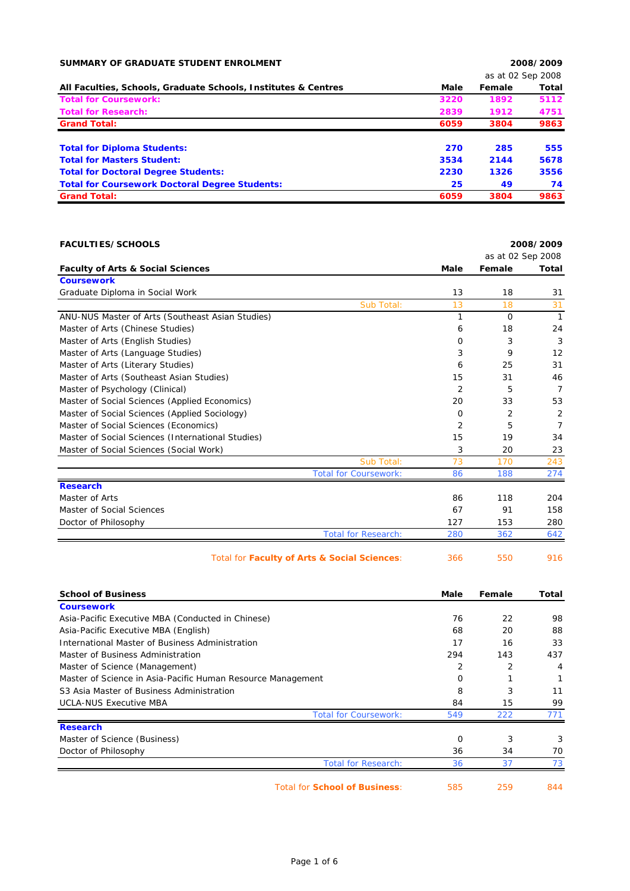| SUMMARY OF GRADUATE STUDENT ENROLMENT                          |      |                   | 2008/2009 |
|----------------------------------------------------------------|------|-------------------|-----------|
|                                                                |      | as at 02 Sep 2008 |           |
| All Faculties, Schools, Graduate Schools, Institutes & Centres | Male | Female            | Total     |
| <b>Total for Coursework:</b>                                   | 3220 | 1892              | 5112      |
| <b>Total for Research:</b>                                     | 2839 | 1912              | 4751      |
| <b>Grand Total:</b>                                            | 6059 | 3804              | 9863      |
| <b>Total for Diploma Students:</b>                             | 270  | 285               | 555       |
| <b>Total for Masters Student:</b>                              | 3534 | 2144              | 5678      |
| <b>Total for Doctoral Degree Students:</b>                     | 2230 | 1326              | 3556      |
| <b>Total for Coursework Doctoral Degree Students:</b>          | 25   | 49                | 74        |
| <b>Grand Total:</b>                                            | 6059 | 3804              | 9863      |

| <b>FACULTIES/SCHOOLS</b>                                    | 2008/2009      |                   |                |
|-------------------------------------------------------------|----------------|-------------------|----------------|
|                                                             |                | as at 02 Sep 2008 |                |
| <b>Faculty of Arts &amp; Social Sciences</b>                | <b>Male</b>    | Female            | Total          |
| <b>Coursework</b>                                           |                |                   |                |
| Graduate Diploma in Social Work                             | 13             | 18                | 31             |
| Sub Total:                                                  | 13             | 18                | 31             |
| ANU-NUS Master of Arts (Southeast Asian Studies)            | 1              | $\Omega$          | $\mathbf{1}$   |
| Master of Arts (Chinese Studies)                            | 6              | 18                | 24             |
| Master of Arts (English Studies)                            | 0              | 3                 | 3              |
| Master of Arts (Language Studies)                           | 3              | 9                 | 12             |
| Master of Arts (Literary Studies)                           | 6              | 25                | 31             |
| Master of Arts (Southeast Asian Studies)                    | 15             | 31                | 46             |
| Master of Psychology (Clinical)                             | $\overline{2}$ | 5                 | $\overline{7}$ |
| Master of Social Sciences (Applied Economics)               | 20             | 33                | 53             |
| Master of Social Sciences (Applied Sociology)               | 0              | 2                 | 2              |
| Master of Social Sciences (Economics)                       | 2              | 5                 | $\overline{7}$ |
| Master of Social Sciences (International Studies)           | 15             | 19                | 34             |
| Master of Social Sciences (Social Work)                     | 3              | 20                | 23             |
| Sub Total:                                                  | 73             | 170               | 243            |
| <b>Total for Coursework:</b>                                | 86             | 188               | 274            |
| <b>Research</b>                                             |                |                   |                |
| Master of Arts                                              | 86             | 118               | 204            |
| Master of Social Sciences                                   | 67             | 91                | 158            |
| Doctor of Philosophy                                        | 127            | 153               | 280            |
| <b>Total for Research:</b>                                  | 280            | 362               | 642            |
| Total for Faculty of Arts & Social Sciences:                | 366            | 550               | 916            |
| <b>School of Business</b>                                   | Male           | Female            | Total          |
| <b>Coursework</b>                                           |                |                   |                |
| Asia-Pacific Executive MBA (Conducted in Chinese)           | 76             | 22                | 98             |
| Asia-Pacific Executive MBA (English)                        | 68             | 20                | 88             |
| International Master of Business Administration             | 17             | 16                | 33             |
| Master of Business Administration                           | 294            | 143               | 437            |
| Master of Science (Management)                              | 2              | 2                 | 4              |
| Master of Science in Asia-Pacific Human Resource Management | 0              | 1                 | $\mathbf{1}$   |
| S3 Asia Master of Rusiness Administration                   | $\mathbf{Q}$   | <b>S</b>          | 11             |

| S3 Asia Master of Business Administration |                              | 8   |     | 11  |
|-------------------------------------------|------------------------------|-----|-----|-----|
| <b>UCLA-NUS Executive MBA</b>             |                              | 84  | 15  | 99  |
|                                           | <b>Total for Coursework:</b> | 549 | 222 | 771 |
| <b>Research</b>                           |                              |     |     |     |
| Master of Science (Business)              |                              | 0   |     |     |
| Doctor of Philosophy                      |                              | 36  | 34  | 70  |
|                                           | <b>Total for Research:</b>   | 36  |     |     |

Total for **School of Business**: 585 259 844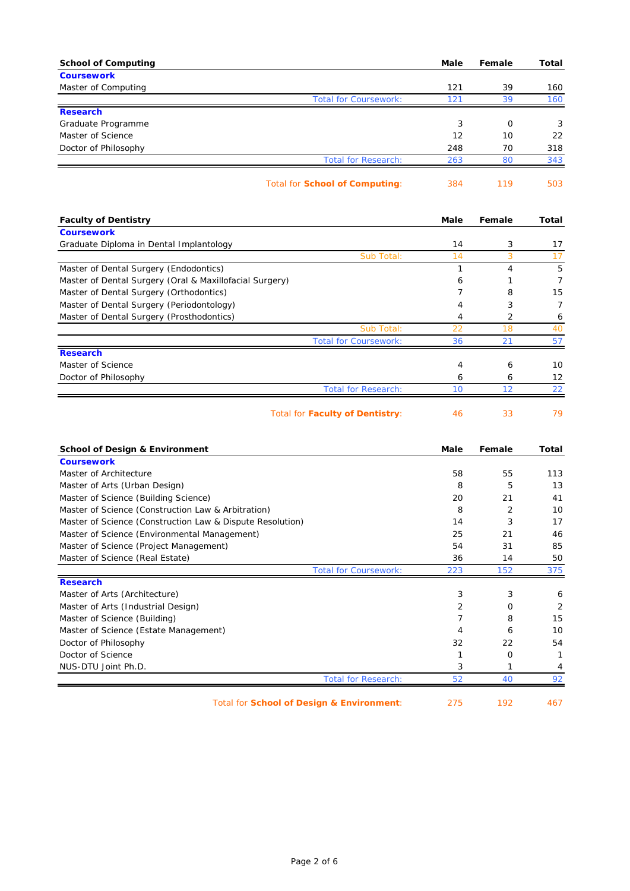| <b>School of Computing</b>                                      | Male       | Female    | Total          |
|-----------------------------------------------------------------|------------|-----------|----------------|
| <b>Coursework</b>                                               |            |           |                |
| Master of Computing<br><b>Total for Coursework:</b>             | 121<br>121 | 39<br>39  | 160<br>160     |
| <b>Research</b>                                                 |            |           |                |
| Graduate Programme                                              | 3          | 0         | 3              |
| Master of Science                                               | 12         | 10        | 22             |
| Doctor of Philosophy                                            | 248        | 70        | 318            |
| <b>Total for Research:</b>                                      | 263        | 80        | 343            |
| <b>Total for School of Computing:</b>                           | 384        | 119       | 503            |
| <b>Faculty of Dentistry</b>                                     | Male       | Female    | Total          |
| <b>Coursework</b>                                               |            |           |                |
| Graduate Diploma in Dental Implantology                         | 14         | 3         | 17             |
| Sub Total:                                                      | 14         | 3         | 17             |
| Master of Dental Surgery (Endodontics)                          | 1          | 4         | 5              |
| Master of Dental Surgery (Oral & Maxillofacial Surgery)         | 6          | 1         | $\overline{7}$ |
| Master of Dental Surgery (Orthodontics)                         | 7          | 8         | 15             |
| Master of Dental Surgery (Periodontology)                       | 4          | 3         | 7              |
| Master of Dental Surgery (Prosthodontics)                       | 4          | 2         | 6              |
| Sub Total:                                                      | 22         | 18        | 40             |
| <b>Total for Coursework:</b>                                    | 36         | 21        | 57             |
| <b>Research</b>                                                 |            |           |                |
| Master of Science                                               | 4          | 6         | 10             |
| Doctor of Philosophy                                            | 6          | 6         | 12             |
| <b>Total for Research:</b>                                      | 10         | 12        | 22             |
| <b>Total for Faculty of Dentistry:</b>                          | 46         | 33        | 79             |
| <b>School of Design &amp; Environment</b>                       | Male       | Female    | Total          |
| <b>Coursework</b>                                               |            |           |                |
| Master of Architecture                                          | 58         | 55        | 113            |
| Master of Arts (Urban Design)                                   | 8          | 5         | 13             |
| Master of Science (Building Science)                            | 20         | 21        | 41             |
| Master of Science (Construction Law & Arbitration)              | 8          | 2         | 10             |
| Master of Science (Construction Law & Dispute Resolution)       | 14         | 3         | 17             |
| Master of Science (Environmental Management)                    | 25         | 21        | 46             |
| Master of Science (Project Management)                          | 54         | 31        | 85             |
| Master of Science (Real Estate)<br><b>Total for Coursework:</b> | 36<br>223  | 14<br>152 | 50<br>375      |
| <b>Research</b>                                                 |            |           |                |
| Master of Arts (Architecture)                                   | 3          | 3         | 6              |
| Master of Arts (Industrial Design)                              | 2          | 0         | $\overline{2}$ |
| Master of Science (Building)                                    | 7          | 8         | 15             |
| Master of Science (Estate Management)                           | 4          | 6         | 10             |
| Doctor of Philosophy                                            | 32         | 22        | 54             |
| Doctor of Science                                               | 1          | 0         | $\mathbf{1}$   |
| NUS-DTU Joint Ph.D.                                             | 3          | 1         | 4              |
| <b>Total for Research:</b>                                      | 52         | 40        | 92             |
| Total for School of Design & Environment:                       | 275        | 192       | 467            |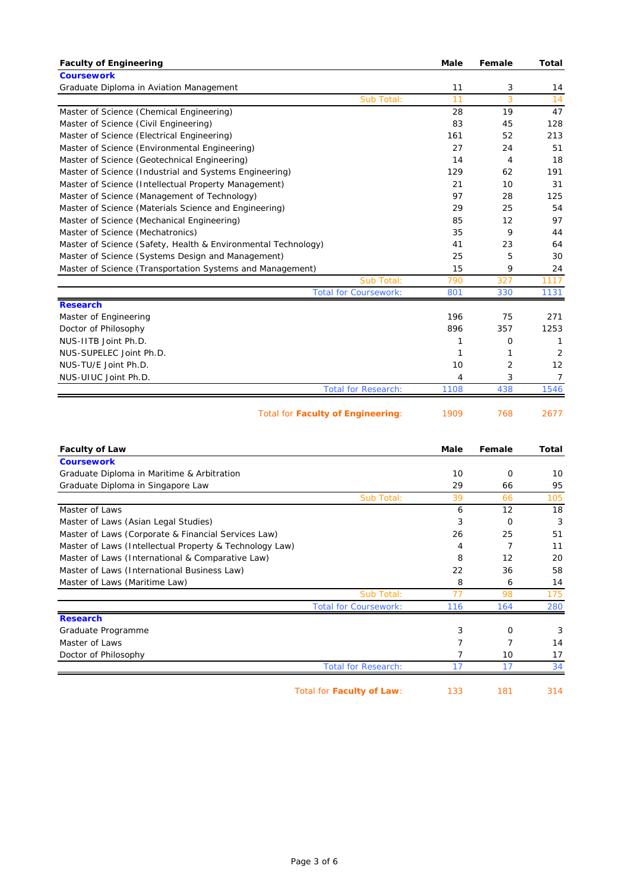| <b>Faculty of Engineering</b>                                 | Male | Female | <b>Total</b>   |
|---------------------------------------------------------------|------|--------|----------------|
| <b>Coursework</b>                                             |      |        |                |
| Graduate Diploma in Aviation Management                       | 11   | 3      | 14             |
| Sub Total:                                                    | 11   | 3      | 14             |
| Master of Science (Chemical Engineering)                      | 28   | 19     | 47             |
| Master of Science (Civil Engineering)                         | 83   | 45     | 128            |
| Master of Science (Electrical Engineering)                    | 161  | 52     | 213            |
| Master of Science (Environmental Engineering)                 | 27   | 24     | 51             |
| Master of Science (Geotechnical Engineering)                  | 14   | 4      | 18             |
| Master of Science (Industrial and Systems Engineering)        | 129  | 62     | 191            |
| Master of Science (Intellectual Property Management)          | 21   | 10     | 31             |
| Master of Science (Management of Technology)                  | 97   | 28     | 125            |
| Master of Science (Materials Science and Engineering)         | 29   | 25     | 54             |
| Master of Science (Mechanical Engineering)                    | 85   | 12     | 97             |
| Master of Science (Mechatronics)                              | 35   | 9      | 44             |
| Master of Science (Safety, Health & Environmental Technology) | 41   | 23     | 64             |
| Master of Science (Systems Design and Management)             | 25   | 5      | 30             |
| Master of Science (Transportation Systems and Management)     | 15   | 9      | 24             |
| Sub Total:                                                    | 790  | 327    | 1117           |
| <b>Total for Coursework:</b>                                  | 801  | 330    | 1131           |
| <b>Research</b>                                               |      |        |                |
| Master of Engineering                                         | 196  | 75     | 271            |
| Doctor of Philosophy                                          | 896  | 357    | 1253           |
| NUS-IITB Joint Ph.D.                                          | 1    | 0      | 1              |
| NUS-SUPELEC Joint Ph.D.                                       | 1    | 1      | 2              |
| NUS-TU/E Joint Ph.D.                                          | 10   | 2      | 12             |
| NUS-UIUC Joint Ph.D.                                          | 4    | 3      | $\overline{7}$ |
| <b>Total for Research:</b>                                    | 1108 | 438    | 1546           |
| <b>Total for Faculty of Engineering:</b>                      | 1909 | 768    | 2677           |

| <b>Faculty of Law</b>                                   |                              | Male | Female   | Total |
|---------------------------------------------------------|------------------------------|------|----------|-------|
| <b>Coursework</b>                                       |                              |      |          |       |
| Graduate Diploma in Maritime & Arbitration              |                              | 10   | $\Omega$ | 10    |
| Graduate Diploma in Singapore Law                       |                              | 29   | 66       | 95    |
|                                                         | Sub Total:                   | 39   | 66       | 105   |
| Master of Laws                                          |                              | 6    | 12       | 18    |
| Master of Laws (Asian Legal Studies)                    |                              | 3    | $\Omega$ | 3     |
| Master of Laws (Corporate & Financial Services Law)     |                              | 26   | 25       | 51    |
| Master of Laws (Intellectual Property & Technology Law) |                              | 4    |          | 11    |
| Master of Laws (International & Comparative Law)        |                              | 8    | 12       | 20    |
| Master of Laws (International Business Law)             |                              | 22   | 36       | 58    |
| Master of Laws (Maritime Law)                           |                              | 8    | 6        | 14    |
|                                                         | Sub Total:                   | 77   | 98       | 175   |
|                                                         | <b>Total for Coursework:</b> | 116  | 164      | 280   |
| <b>Research</b>                                         |                              |      |          |       |
| Graduate Programme                                      |                              | 3    | O        | 3     |
| Master of Laws                                          |                              |      |          | 14    |
| Doctor of Philosophy                                    |                              |      | 10       | 17    |
|                                                         | <b>Total for Research:</b>   | 17   | 17       | 34    |

Total for **Faculty of Law**: 133 181 314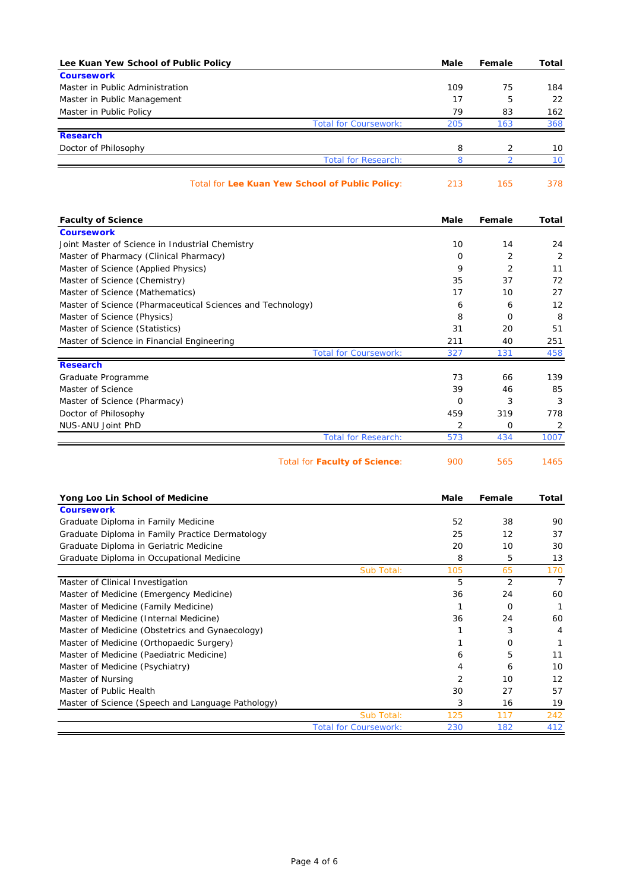| Lee Kuan Yew School of Public Policy                       | Male     | Female         | Total        |
|------------------------------------------------------------|----------|----------------|--------------|
| <b>Coursework</b>                                          |          |                |              |
| Master in Public Administration                            | 109      | 75             | 184          |
| Master in Public Management                                | 17       | 5              | 22           |
| Master in Public Policy                                    | 79       | 83             | 162          |
| <b>Total for Coursework:</b>                               | 205      | 163            | 368          |
| <b>Research</b>                                            |          |                |              |
| Doctor of Philosophy                                       | 8        | 2              | 10           |
| <b>Total for Research:</b>                                 | 8        | 2              | 10           |
| Total for Lee Kuan Yew School of Public Policy:            | 213      | 165            | 378          |
| <b>Faculty of Science</b>                                  | Male     | Female         | <b>Total</b> |
| <b>Coursework</b>                                          |          |                |              |
| Joint Master of Science in Industrial Chemistry            | 10       | 14             | 24           |
| Master of Pharmacy (Clinical Pharmacy)                     | O        | 2              | 2            |
| Master of Science (Applied Physics)                        | 9        | $\overline{2}$ | 11           |
| Master of Science (Chemistry)                              | 35       | 37             | 72           |
| Master of Science (Mathematics)                            | 17       | 10             | 27           |
| Master of Science (Pharmaceutical Sciences and Technology) | 6        | 6              | 12           |
| Master of Science (Physics)                                | 8        | 0              | 8            |
| Master of Science (Statistics)                             | 31       | 20             | 51           |
| Master of Science in Financial Engineering                 | 211      | 40             | 251          |
| <b>Total for Coursework:</b>                               | 327      | 131            | 458          |
| <b>Research</b>                                            |          |                |              |
| Graduate Programme                                         | 73       | 66             | 139          |
| Master of Science                                          | 39       | 46             | 85           |
| Master of Science (Pharmacy)                               | $\Omega$ | 3              | 3            |

|                                                   | Total for Faculty of Science: | 900            | 565            | 1465           |
|---------------------------------------------------|-------------------------------|----------------|----------------|----------------|
|                                                   |                               |                |                |                |
| Yong Loo Lin School of Medicine                   |                               | Male           | Female         | Total          |
| <b>Coursework</b>                                 |                               |                |                |                |
| Graduate Diploma in Family Medicine               |                               | 52             | 38             | 90             |
| Graduate Diploma in Family Practice Dermatology   |                               | 25             | 12             | 37             |
| Graduate Diploma in Geriatric Medicine            |                               | 20             | 10             | 30             |
| Graduate Diploma in Occupational Medicine         |                               | 8              | 5              | 13             |
|                                                   | Sub Total:                    | 105            | 65             | 170            |
| Master of Clinical Investigation                  |                               | 5              | $\overline{2}$ | $\overline{7}$ |
| Master of Medicine (Emergency Medicine)           |                               | 36             | 24             | 60             |
| Master of Medicine (Family Medicine)              |                               |                | $\Omega$       |                |
| Master of Medicine (Internal Medicine)            |                               | 36             | 24             | 60             |
| Master of Medicine (Obstetrics and Gynaecology)   |                               |                | 3              | 4              |
| Master of Medicine (Orthopaedic Surgery)          |                               |                | O              |                |
| Master of Medicine (Paediatric Medicine)          |                               | 6              | 5              | 11             |
| Master of Medicine (Psychiatry)                   |                               | 4              | 6              | 10             |
| Master of Nursing                                 |                               | $\overline{2}$ | 10             | 12             |
| Master of Public Health                           |                               | 30             | 27             | 57             |
| Master of Science (Speech and Language Pathology) |                               | 3              | 16             | 19             |
|                                                   | Sub Total:                    | 125            | 117            | 242            |
|                                                   | <b>Total for Coursework:</b>  | 230            | 182            | 412            |

Doctor of Philosophy 459 319 778 NUS-ANU Joint PhD 2 0 2

Total for Research: 573 434 1007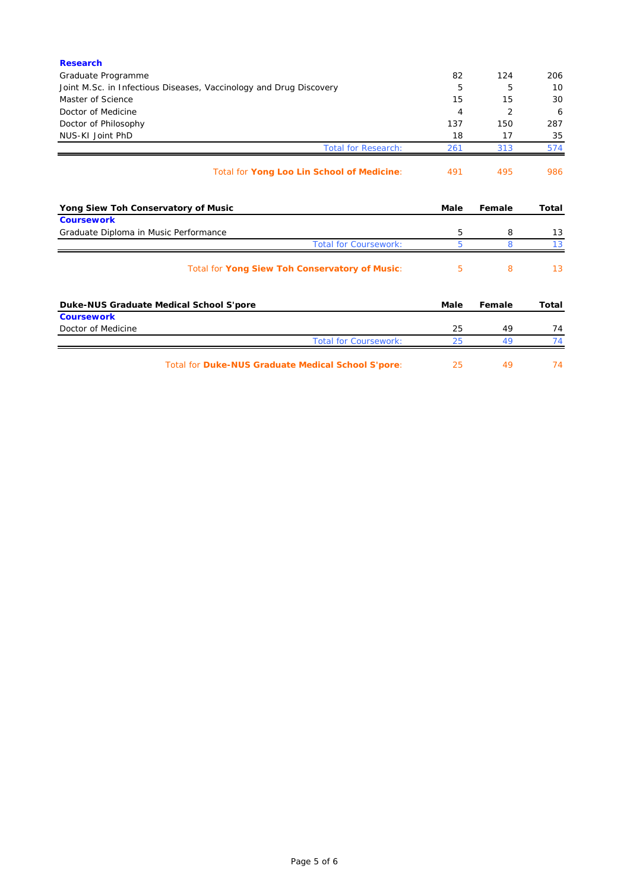| <b>Research</b>                                                    |      |        |       |
|--------------------------------------------------------------------|------|--------|-------|
| Graduate Programme                                                 | 82   | 124    | 206   |
| Joint M.Sc. in Infectious Diseases, Vaccinology and Drug Discovery | 5    | 5      | 10    |
| Master of Science                                                  | 15   | 15     | 30    |
| Doctor of Medicine                                                 | 4    | 2      | 6     |
| Doctor of Philosophy                                               | 137  | 150    | 287   |
| NUS-KI Joint PhD                                                   | 18   | 17     | 35    |
| <b>Total for Research:</b>                                         | 261  | 313    | 574   |
| Total for Yong Loo Lin School of Medicine:                         | 491  | 495    | 986   |
| Yong Siew Toh Conservatory of Music                                | Male | Female | Total |
| <b>Coursework</b><br>Graduate Diploma in Music Performance         | 5    | 8      | 13    |
| <b>Total for Coursework:</b>                                       | 5.   | 8      | 13    |
| Total for Yong Siew Toh Conservatory of Music:                     | 5    | 8      | 13    |
| Duke-NUS Graduate Medical School S'pore                            | Male | Female | Total |
| <b>Coursework</b>                                                  |      |        |       |
| Doctor of Medicine                                                 | 25   | 49     | 74    |
| <b>Total for Coursework:</b>                                       | 25   | 49     | 74    |
| <b>Total for Duke-NUS Graduate Medical School S'pore:</b>          | 25   | 49     | 74    |